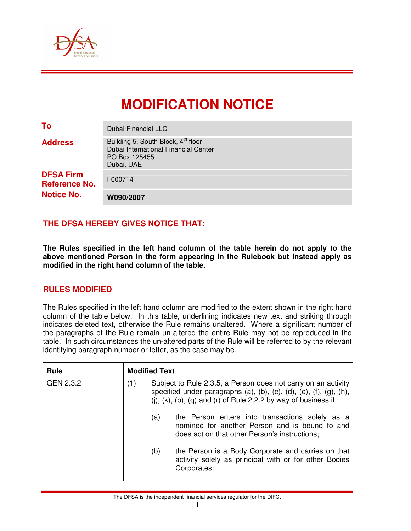

# **MODIFICATION NOTICE**

| To                                       | Dubai Financial LLC                                                                                                   |
|------------------------------------------|-----------------------------------------------------------------------------------------------------------------------|
| <b>Address</b>                           | Building 5, South Block, 4 <sup>th</sup> floor<br>Dubai International Financial Center<br>PO Box 125455<br>Dubai, UAE |
| <b>DFSA Firm</b><br><b>Reference No.</b> | F000714                                                                                                               |
| <b>Notice No.</b>                        | W090/2007                                                                                                             |

# **THE DFSA HEREBY GIVES NOTICE THAT:**

**The Rules specified in the left hand column of the table herein do not apply to the above mentioned Person in the form appearing in the Rulebook but instead apply as modified in the right hand column of the table.** 

## **RULES MODIFIED**

The Rules specified in the left hand column are modified to the extent shown in the right hand column of the table below. In this table, underlining indicates new text and striking through indicates deleted text, otherwise the Rule remains unaltered. Where a significant number of the paragraphs of the Rule remain un-altered the entire Rule may not be reproduced in the table. In such circumstances the un-altered parts of the Rule will be referred to by the relevant identifying paragraph number or letter, as the case may be.

| <b>Rule</b> | <b>Modified Text</b> |                                                                                                                                                                                                                                          |                                                                                                                                                    |  |  |  |  |  |
|-------------|----------------------|------------------------------------------------------------------------------------------------------------------------------------------------------------------------------------------------------------------------------------------|----------------------------------------------------------------------------------------------------------------------------------------------------|--|--|--|--|--|
| GEN 2.3.2   | (1)                  | Subject to Rule 2.3.5, a Person does not carry on an activity<br>specified under paragraphs $(a)$ , $(b)$ , $(c)$ , $(d)$ , $(e)$ , $(f)$ , $(g)$ , $(h)$ ,<br>(i), $(k)$ , $(p)$ , $(q)$ and $(r)$ of Rule 2.2.2 by way of business if: |                                                                                                                                                    |  |  |  |  |  |
|             |                      | (a)                                                                                                                                                                                                                                      | the Person enters into transactions solely as a<br>nominee for another Person and is bound to and<br>does act on that other Person's instructions; |  |  |  |  |  |
|             |                      | (b)                                                                                                                                                                                                                                      | the Person is a Body Corporate and carries on that<br>activity solely as principal with or for other Bodies<br>Corporates:                         |  |  |  |  |  |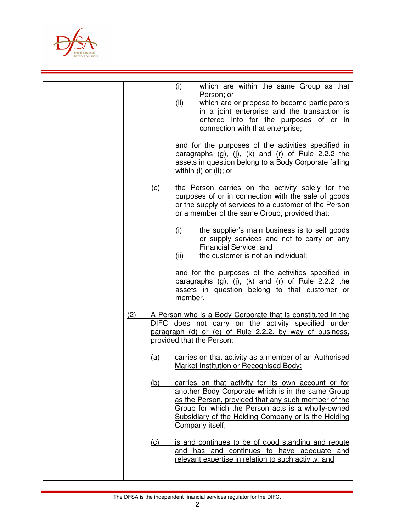

|     |            | (i)         | which are within the same Group as that                                                                                                                                                                                                                                                        |
|-----|------------|-------------|------------------------------------------------------------------------------------------------------------------------------------------------------------------------------------------------------------------------------------------------------------------------------------------------|
|     |            | (ii)        | Person; or<br>which are or propose to become participators<br>in a joint enterprise and the transaction is<br>entered into for the purposes of or in<br>connection with that enterprise;                                                                                                       |
|     |            |             | and for the purposes of the activities specified in<br>paragraphs $(g)$ , $(j)$ , $(k)$ and $(r)$ of Rule 2.2.2 the<br>assets in question belong to a Body Corporate falling<br>within (i) or (ii); or                                                                                         |
|     | (c)        |             | the Person carries on the activity solely for the<br>purposes of or in connection with the sale of goods<br>or the supply of services to a customer of the Person<br>or a member of the same Group, provided that:                                                                             |
|     |            | (i)<br>(ii) | the supplier's main business is to sell goods<br>or supply services and not to carry on any<br>Financial Service; and<br>the customer is not an individual;                                                                                                                                    |
|     |            | member.     | and for the purposes of the activities specified in<br>paragraphs $(g)$ , $(j)$ , $(k)$ and $(r)$ of Rule 2.2.2 the<br>assets in question belong to that customer or                                                                                                                           |
| (2) |            |             | A Person who is a Body Corporate that is constituted in the<br>DIFC does not carry on the activity specified under<br>paragraph (d) or (e) of Rule 2.2.2. by way of business,<br>provided that the Person:                                                                                     |
|     | (a)        |             | carries on that activity as a member of an Authorised<br>Market Institution or Recognised Body;                                                                                                                                                                                                |
|     | (b)        |             | carries on that activity for its own account or for<br>another Body Corporate which is in the same Group<br>as the Person, provided that any such member of the<br>Group for which the Person acts is a wholly-owned<br>Subsidiary of the Holding Company or is the Holding<br>Company itself; |
|     | <u>(c)</u> |             | is and continues to be of good standing and repute<br>and has and continues to have adequate and<br>relevant expertise in relation to such activity; and                                                                                                                                       |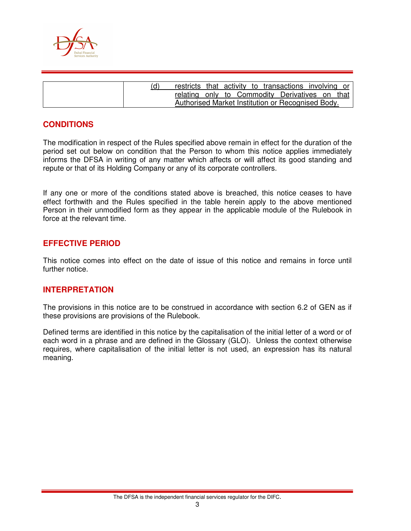

|  | restricts that activity to transactions involving or |  |  |  |  |  |
|--|------------------------------------------------------|--|--|--|--|--|
|  | relating only to Commodity Derivatives on that       |  |  |  |  |  |
|  | Authorised Market Institution or Recognised Body.    |  |  |  |  |  |

# **CONDITIONS**

The modification in respect of the Rules specified above remain in effect for the duration of the period set out below on condition that the Person to whom this notice applies immediately informs the DFSA in writing of any matter which affects or will affect its good standing and repute or that of its Holding Company or any of its corporate controllers.

If any one or more of the conditions stated above is breached, this notice ceases to have effect forthwith and the Rules specified in the table herein apply to the above mentioned Person in their unmodified form as they appear in the applicable module of the Rulebook in force at the relevant time.

## **EFFECTIVE PERIOD**

This notice comes into effect on the date of issue of this notice and remains in force until further notice.

#### **INTERPRETATION**

The provisions in this notice are to be construed in accordance with section 6.2 of GEN as if these provisions are provisions of the Rulebook.

Defined terms are identified in this notice by the capitalisation of the initial letter of a word or of each word in a phrase and are defined in the Glossary (GLO). Unless the context otherwise requires, where capitalisation of the initial letter is not used, an expression has its natural meaning.